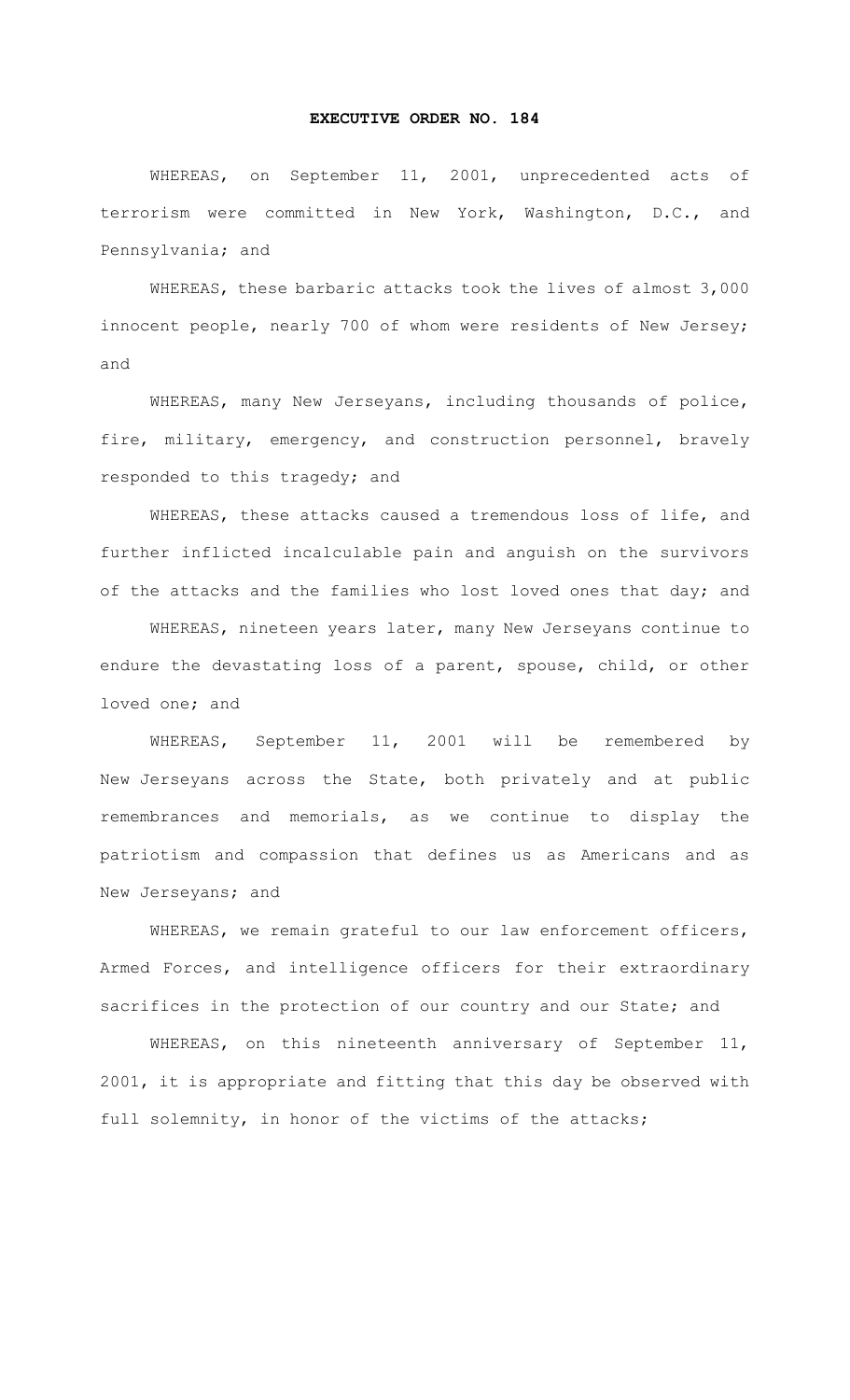## **EXECUTIVE ORDER NO. 184**

WHEREAS, on September 11, 2001, unprecedented acts of terrorism were committed in New York, Washington, D.C., and Pennsylvania; and

WHEREAS, these barbaric attacks took the lives of almost 3,000 innocent people, nearly 700 of whom were residents of New Jersey; and

WHEREAS, many New Jerseyans, including thousands of police, fire, military, emergency, and construction personnel, bravely responded to this tragedy; and

WHEREAS, these attacks caused a tremendous loss of life, and further inflicted incalculable pain and anguish on the survivors of the attacks and the families who lost loved ones that day; and

WHEREAS, nineteen years later, many New Jerseyans continue to endure the devastating loss of a parent, spouse, child, or other loved one; and

WHEREAS, September 11, 2001 will be remembered by New Jerseyans across the State, both privately and at public remembrances and memorials, as we continue to display the patriotism and compassion that defines us as Americans and as New Jerseyans; and

WHEREAS, we remain grateful to our law enforcement officers, Armed Forces, and intelligence officers for their extraordinary sacrifices in the protection of our country and our State; and

WHEREAS, on this nineteenth anniversary of September 11, 2001, it is appropriate and fitting that this day be observed with full solemnity, in honor of the victims of the attacks;